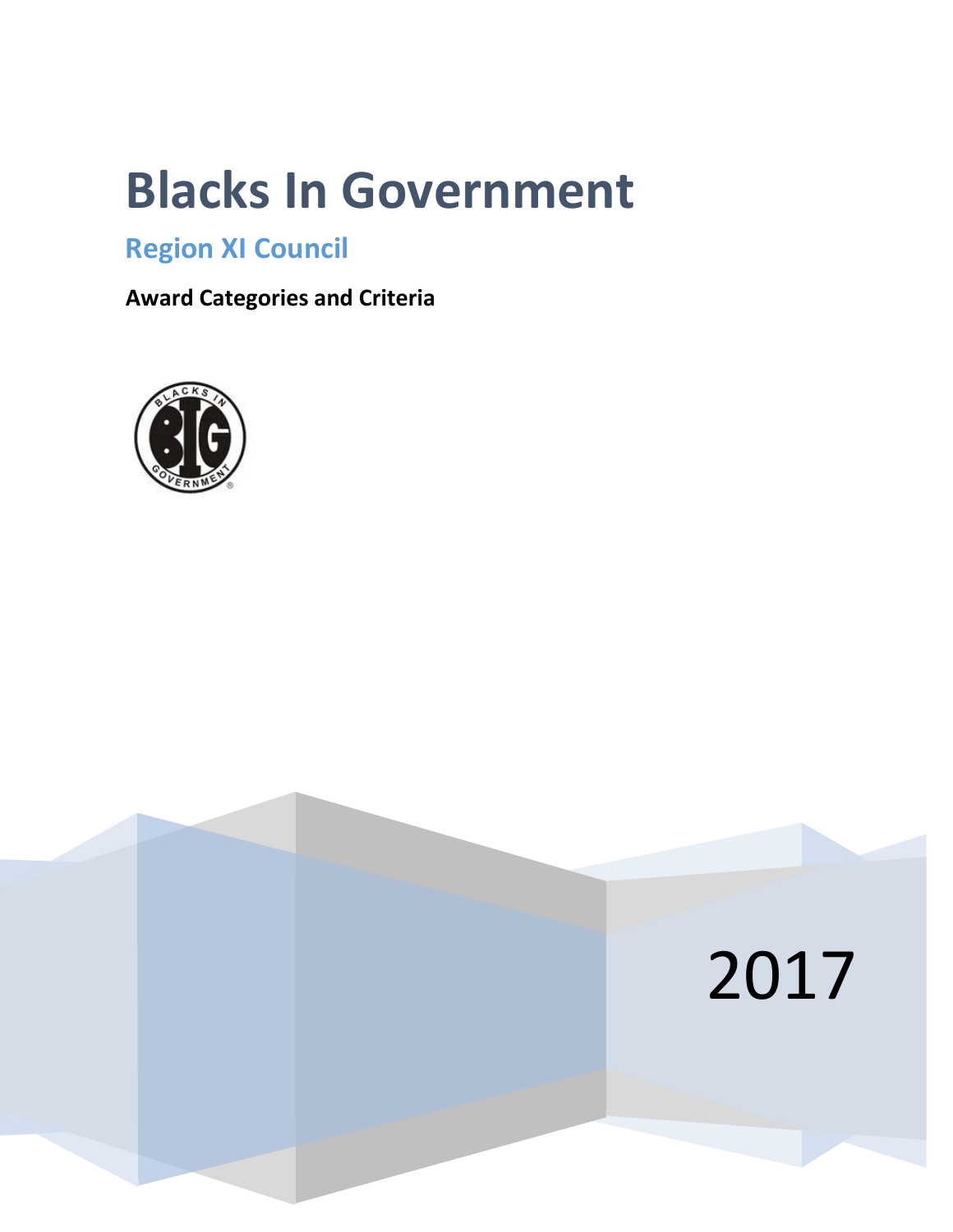# **Blacks In Government**

# **Region XI Council**

**Award Categories and Criteria**



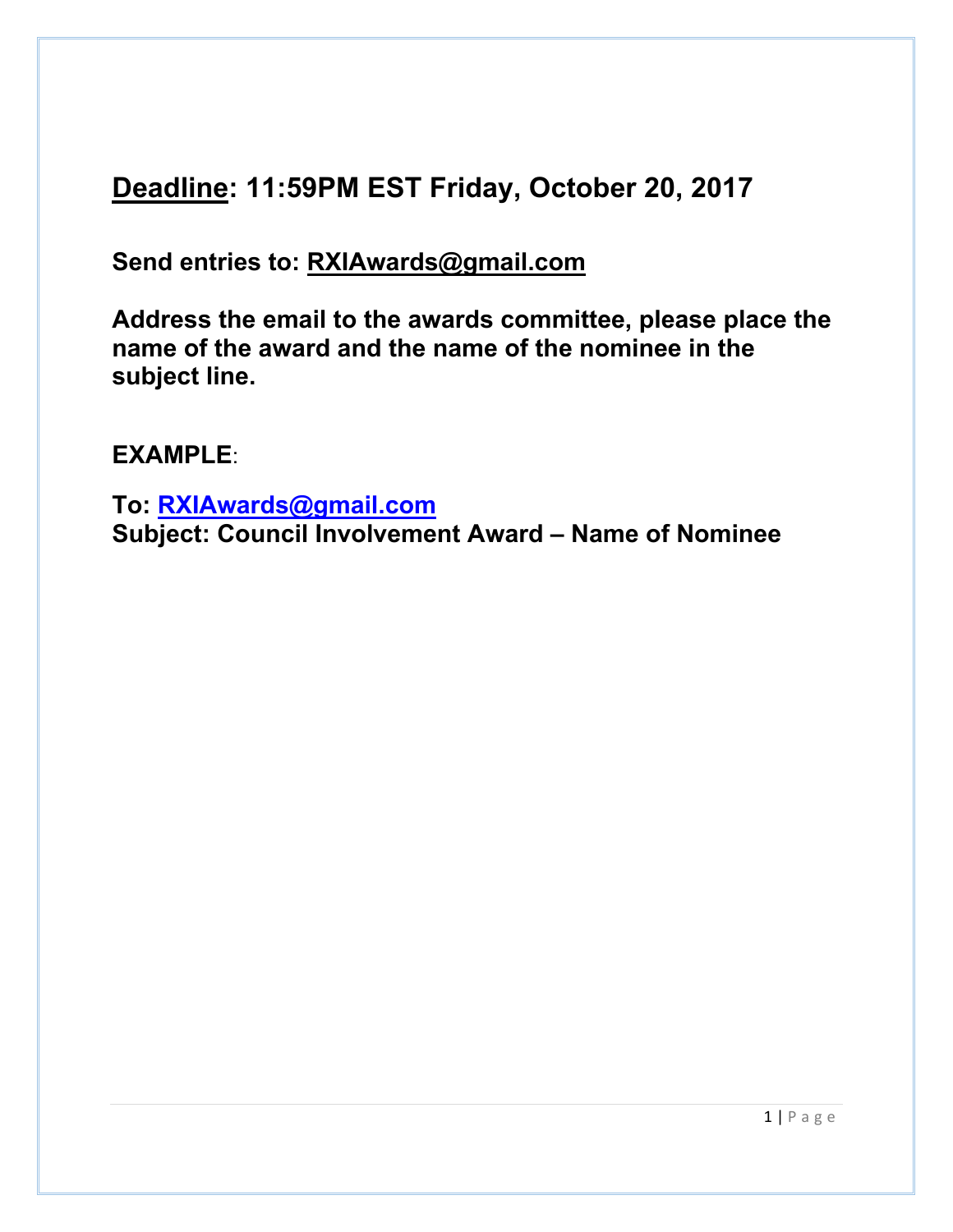# **Deadline: 11:59PM EST Friday, October 20, 2017**

**Send entries to: RXIAwards@gmail.com**

**Address the email to the awards committee, please place the name of the award and the name of the nominee in the subject line.**

**EXAMPLE**:

**To: RXIAwards@gmail.com Subject: Council Involvement Award – Name of Nominee**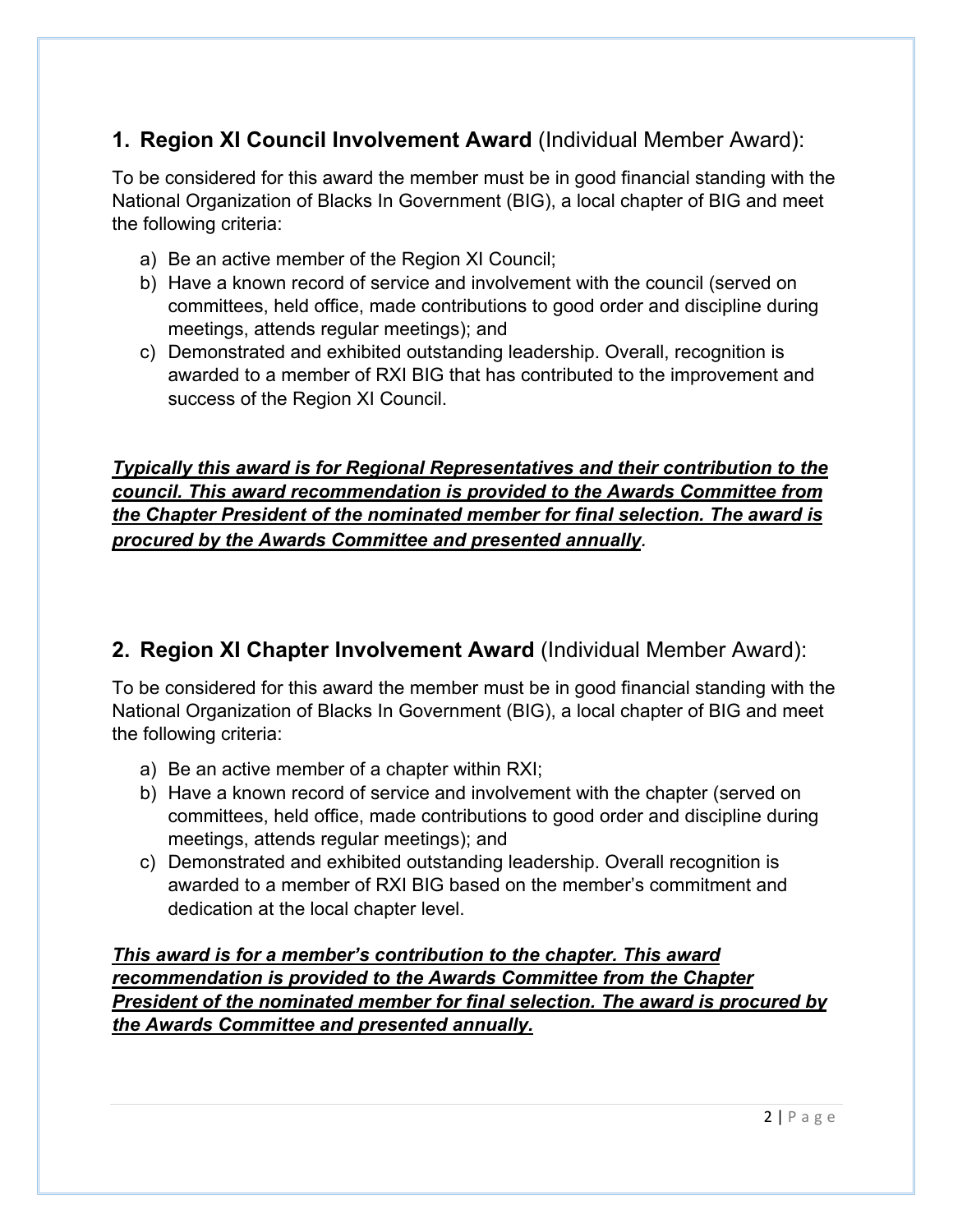## **1. Region XI Council Involvement Award** (Individual Member Award):

To be considered for this award the member must be in good financial standing with the National Organization of Blacks In Government (BIG), a local chapter of BIG and meet the following criteria:

- a) Be an active member of the Region XI Council;
- b) Have a known record of service and involvement with the council (served on committees, held office, made contributions to good order and discipline during meetings, attends regular meetings); and
- c) Demonstrated and exhibited outstanding leadership. Overall, recognition is awarded to a member of RXI BIG that has contributed to the improvement and success of the Region XI Council.

#### *Typically this award is for Regional Representatives and their contribution to the council. This award recommendation is provided to the Awards Committee from the Chapter President of the nominated member for final selection. The award is procured by the Awards Committee and presented annually.*

## **2. Region XI Chapter Involvement Award** (Individual Member Award):

To be considered for this award the member must be in good financial standing with the National Organization of Blacks In Government (BIG), a local chapter of BIG and meet the following criteria:

- a) Be an active member of a chapter within RXI;
- b) Have a known record of service and involvement with the chapter (served on committees, held office, made contributions to good order and discipline during meetings, attends regular meetings); and
- c) Demonstrated and exhibited outstanding leadership. Overall recognition is awarded to a member of RXI BIG based on the member's commitment and dedication at the local chapter level.

*This award is for a member's contribution to the chapter. This award recommendation is provided to the Awards Committee from the Chapter President of the nominated member for final selection. The award is procured by the Awards Committee and presented annually.*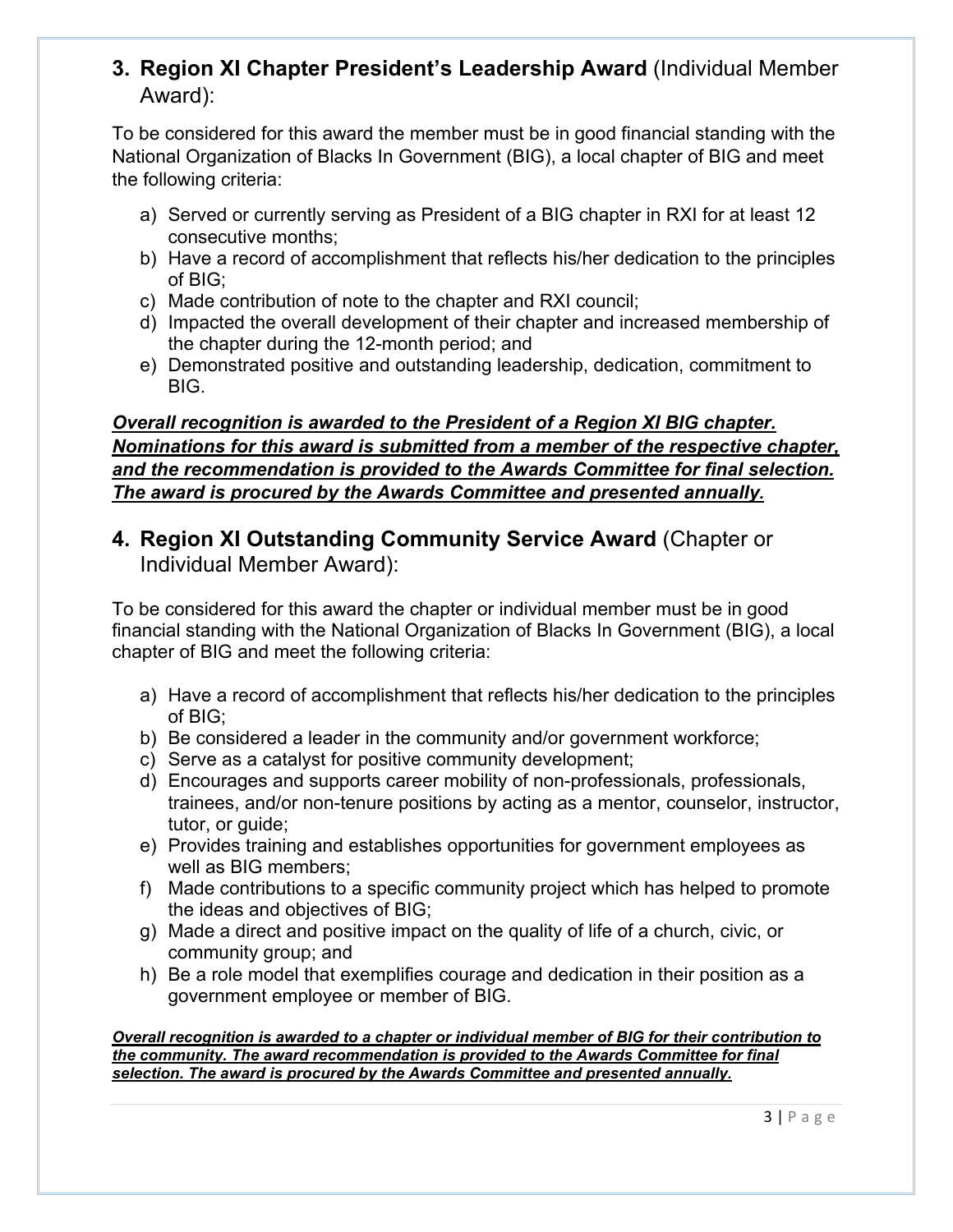#### **3. Region XI Chapter President's Leadership Award** (Individual Member Award):

To be considered for this award the member must be in good financial standing with the National Organization of Blacks In Government (BIG), a local chapter of BIG and meet the following criteria:

- a) Served or currently serving as President of a BIG chapter in RXI for at least 12 consecutive months;
- b) Have a record of accomplishment that reflects his/her dedication to the principles of BIG;
- c) Made contribution of note to the chapter and RXI council;
- d) Impacted the overall development of their chapter and increased membership of the chapter during the 12-month period; and
- e) Demonstrated positive and outstanding leadership, dedication, commitment to BIG.

#### *Overall recognition is awarded to the President of a Region XI BIG chapter. Nominations for this award is submitted from a member of the respective chapter, and the recommendation is provided to the Awards Committee for final selection. The award is procured by the Awards Committee and presented annually.*

#### **4. Region XI Outstanding Community Service Award** (Chapter or Individual Member Award):

To be considered for this award the chapter or individual member must be in good financial standing with the National Organization of Blacks In Government (BIG), a local chapter of BIG and meet the following criteria:

- a) Have a record of accomplishment that reflects his/her dedication to the principles of BIG;
- b) Be considered a leader in the community and/or government workforce;
- c) Serve as a catalyst for positive community development;
- d) Encourages and supports career mobility of non-professionals, professionals, trainees, and/or non-tenure positions by acting as a mentor, counselor, instructor, tutor, or quide:
- e) Provides training and establishes opportunities for government employees as well as BIG members;
- f) Made contributions to a specific community project which has helped to promote the ideas and objectives of BIG;
- g) Made a direct and positive impact on the quality of life of a church, civic, or community group; and
- h) Be a role model that exemplifies courage and dedication in their position as a government employee or member of BIG.

*Overall recognition is awarded to a chapter or individual member of BIG for their contribution to the community. The award recommendation is provided to the Awards Committee for final selection. The award is procured by the Awards Committee and presented annually.*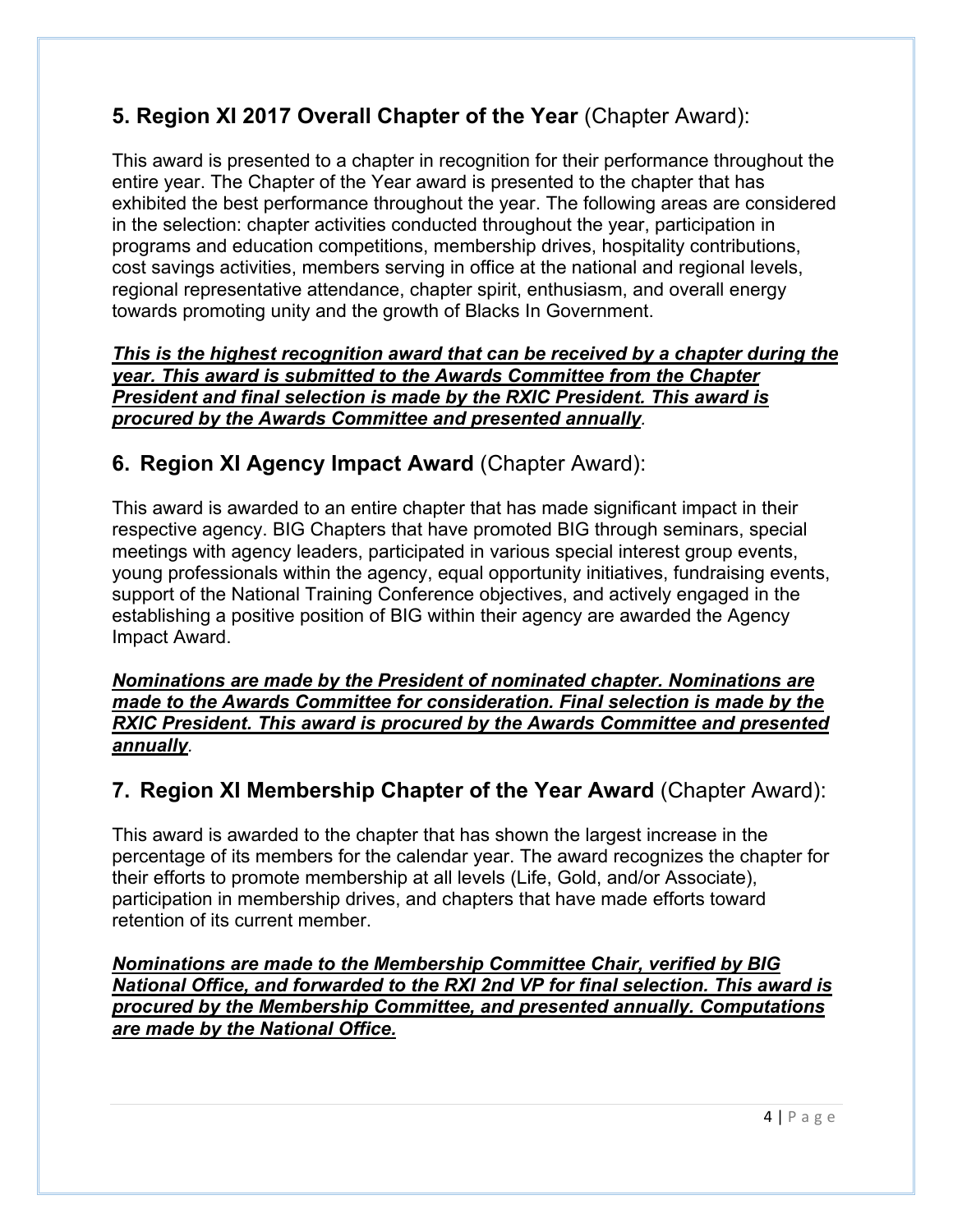## **5. Region XI 2017 Overall Chapter of the Year** (Chapter Award):

This award is presented to a chapter in recognition for their performance throughout the entire year. The Chapter of the Year award is presented to the chapter that has exhibited the best performance throughout the year. The following areas are considered in the selection: chapter activities conducted throughout the year, participation in programs and education competitions, membership drives, hospitality contributions, cost savings activities, members serving in office at the national and regional levels, regional representative attendance, chapter spirit, enthusiasm, and overall energy towards promoting unity and the growth of Blacks In Government.

*This is the highest recognition award that can be received by a chapter during the year. This award is submitted to the Awards Committee from the Chapter President and final selection is made by the RXIC President. This award is procured by the Awards Committee and presented annually.* 

#### **6. Region XI Agency Impact Award** (Chapter Award):

This award is awarded to an entire chapter that has made significant impact in their respective agency. BIG Chapters that have promoted BIG through seminars, special meetings with agency leaders, participated in various special interest group events, young professionals within the agency, equal opportunity initiatives, fundraising events, support of the National Training Conference objectives, and actively engaged in the establishing a positive position of BIG within their agency are awarded the Agency Impact Award.

*Nominations are made by the President of nominated chapter. Nominations are made to the Awards Committee for consideration. Final selection is made by the RXIC President. This award is procured by the Awards Committee and presented annually.* 

#### **7. Region XI Membership Chapter of the Year Award** (Chapter Award):

This award is awarded to the chapter that has shown the largest increase in the percentage of its members for the calendar year. The award recognizes the chapter for their efforts to promote membership at all levels (Life, Gold, and/or Associate), participation in membership drives, and chapters that have made efforts toward retention of its current member.

*Nominations are made to the Membership Committee Chair, verified by BIG National Office, and forwarded to the RXI 2nd VP for final selection. This award is procured by the Membership Committee, and presented annually. Computations are made by the National Office.*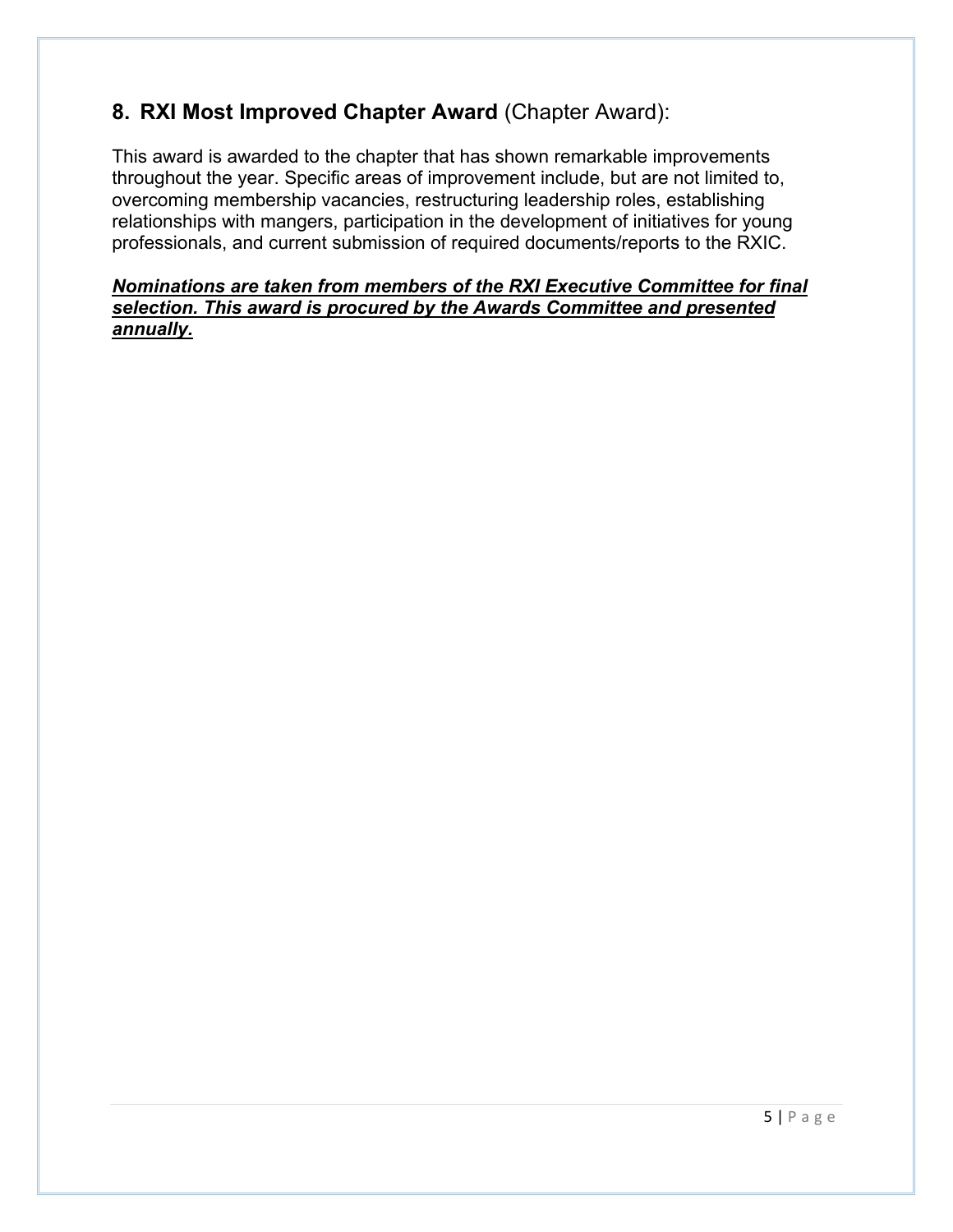### **8. RXI Most Improved Chapter Award** (Chapter Award):

This award is awarded to the chapter that has shown remarkable improvements throughout the year. Specific areas of improvement include, but are not limited to, overcoming membership vacancies, restructuring leadership roles, establishing relationships with mangers, participation in the development of initiatives for young professionals, and current submission of required documents/reports to the RXIC.

#### *Nominations are taken from members of the RXI Executive Committee for final selection. This award is procured by the Awards Committee and presented annually.*